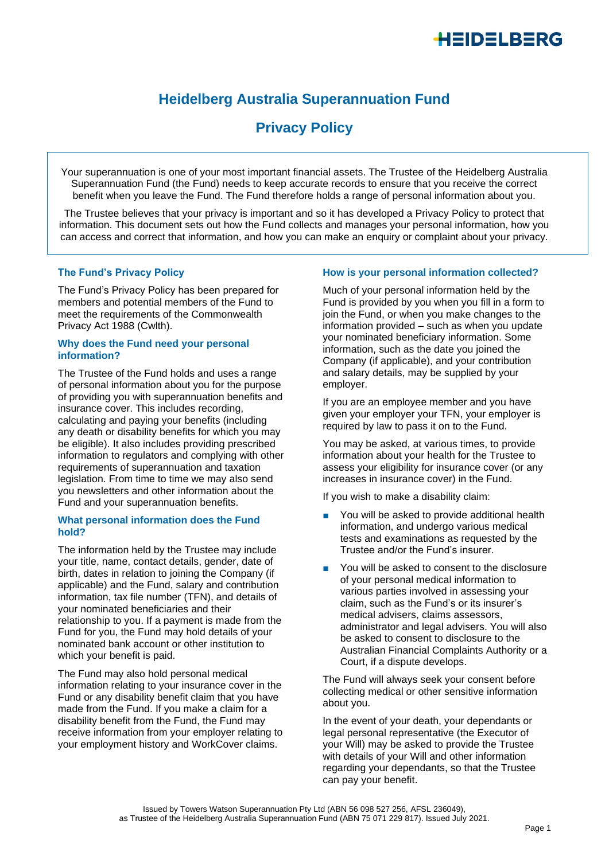# <del>I</del>EIDELBERG

## **Heidelberg Australia Superannuation Fund**

## **Privacy Policy**

Your superannuation is one of your most important financial assets. The Trustee of the Heidelberg Australia Superannuation Fund (the Fund) needs to keep accurate records to ensure that you receive the correct benefit when you leave the Fund. The Fund therefore holds a range of personal information about you.

The Trustee believes that your privacy is important and so it has developed a Privacy Policy to protect that information. This document sets out how the Fund collects and manages your personal information, how you can access and correct that information, and how you can make an enquiry or complaint about your privacy.

#### **The Fund's Privacy Policy**

The Fund's Privacy Policy has been prepared for members and potential members of the Fund to meet the requirements of the Commonwealth Privacy Act 1988 (Cwlth).

#### **Why does the Fund need your personal information?**

The Trustee of the Fund holds and uses a range of personal information about you for the purpose of providing you with superannuation benefits and insurance cover. This includes recording, calculating and paying your benefits (including any death or disability benefits for which you may be eligible). It also includes providing prescribed information to regulators and complying with other requirements of superannuation and taxation legislation. From time to time we may also send you newsletters and other information about the Fund and your superannuation benefits.

#### **What personal information does the Fund hold?**

The information held by the Trustee may include your title, name, contact details, gender, date of birth, dates in relation to joining the Company (if applicable) and the Fund, salary and contribution information, tax file number (TFN), and details of your nominated beneficiaries and their relationship to you. If a payment is made from the Fund for you, the Fund may hold details of your nominated bank account or other institution to which your benefit is paid.

The Fund may also hold personal medical information relating to your insurance cover in the Fund or any disability benefit claim that you have made from the Fund. If you make a claim for a disability benefit from the Fund, the Fund may receive information from your employer relating to your employment history and WorkCover claims.

#### **How is your personal information collected?**

Much of your personal information held by the Fund is provided by you when you fill in a form to join the Fund, or when you make changes to the information provided – such as when you update your nominated beneficiary information. Some information, such as the date you joined the Company (if applicable), and your contribution and salary details, may be supplied by your employer.

If you are an employee member and you have given your employer your TFN, your employer is required by law to pass it on to the Fund.

You may be asked, at various times, to provide information about your health for the Trustee to assess your eligibility for insurance cover (or any increases in insurance cover) in the Fund.

If you wish to make a disability claim:

- You will be asked to provide additional health information, and undergo various medical tests and examinations as requested by the Trustee and/or the Fund's insurer.
- You will be asked to consent to the disclosure of your personal medical information to various parties involved in assessing your claim, such as the Fund's or its insurer's medical advisers, claims assessors, administrator and legal advisers. You will also be asked to consent to disclosure to the Australian Financial Complaints Authority or a Court, if a dispute develops.

The Fund will always seek your consent before collecting medical or other sensitive information about you.

In the event of your death, your dependants or legal personal representative (the Executor of your Will) may be asked to provide the Trustee with details of your Will and other information regarding your dependants, so that the Trustee can pay your benefit.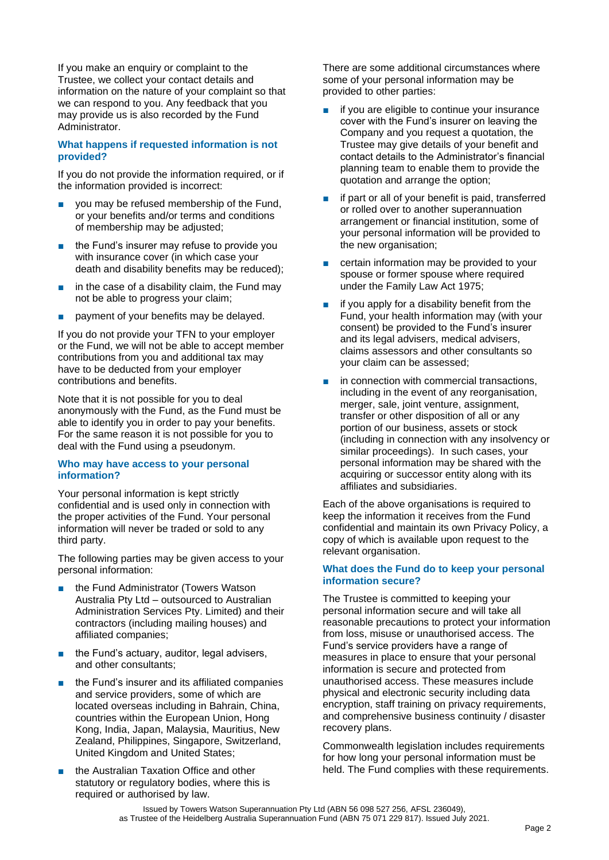If you make an enquiry or complaint to the Trustee, we collect your contact details and information on the nature of your complaint so that we can respond to you. Any feedback that you may provide us is also recorded by the Fund Administrator.

#### **What happens if requested information is not provided?**

If you do not provide the information required, or if the information provided is incorrect:

- you may be refused membership of the Fund, or your benefits and/or terms and conditions of membership may be adjusted;
- the Fund's insurer may refuse to provide you with insurance cover (in which case your death and disability benefits may be reduced);
- in the case of a disability claim, the Fund may not be able to progress your claim;
- payment of your benefits may be delayed.

If you do not provide your TFN to your employer or the Fund, we will not be able to accept member contributions from you and additional tax may have to be deducted from your employer contributions and benefits.

Note that it is not possible for you to deal anonymously with the Fund, as the Fund must be able to identify you in order to pay your benefits. For the same reason it is not possible for you to deal with the Fund using a pseudonym.

#### **Who may have access to your personal information?**

Your personal information is kept strictly confidential and is used only in connection with the proper activities of the Fund. Your personal information will never be traded or sold to any third party.

The following parties may be given access to your personal information:

- the Fund Administrator (Towers Watson Australia Pty Ltd – outsourced to Australian Administration Services Pty. Limited) and their contractors (including mailing houses) and affiliated companies;
- the Fund's actuary, auditor, legal advisers, and other consultants;
- the Fund's insurer and its affiliated companies and service providers, some of which are located overseas including in Bahrain, China, countries within the European Union, Hong Kong, India, Japan, Malaysia, Mauritius, New Zealand, Philippines, Singapore, Switzerland, United Kingdom and United States;
- the Australian Taxation Office and other statutory or regulatory bodies, where this is required or authorised by law.

There are some additional circumstances where some of your personal information may be provided to other parties:

- if you are eligible to continue your insurance cover with the Fund's insurer on leaving the Company and you request a quotation, the Trustee may give details of your benefit and contact details to the Administrator's financial planning team to enable them to provide the quotation and arrange the option;
- if part or all of your benefit is paid, transferred or rolled over to another superannuation arrangement or financial institution, some of your personal information will be provided to the new organisation:
- certain information may be provided to your spouse or former spouse where required under the Family Law Act 1975;
- if you apply for a disability benefit from the Fund, your health information may (with your consent) be provided to the Fund's insurer and its legal advisers, medical advisers, claims assessors and other consultants so your claim can be assessed;
- in connection with commercial transactions, including in the event of any reorganisation, merger, sale, joint venture, assignment, transfer or other disposition of all or any portion of our business, assets or stock (including in connection with any insolvency or similar proceedings). In such cases, your personal information may be shared with the acquiring or successor entity along with its affiliates and subsidiaries.

Each of the above organisations is required to keep the information it receives from the Fund confidential and maintain its own Privacy Policy, a copy of which is available upon request to the relevant organisation.

#### **What does the Fund do to keep your personal information secure?**

The Trustee is committed to keeping your personal information secure and will take all reasonable precautions to protect your information from loss, misuse or unauthorised access. The Fund's service providers have a range of measures in place to ensure that your personal information is secure and protected from unauthorised access. These measures include physical and electronic security including data encryption, staff training on privacy requirements, and comprehensive business continuity / disaster recovery plans.

Commonwealth legislation includes requirements for how long your personal information must be held. The Fund complies with these requirements.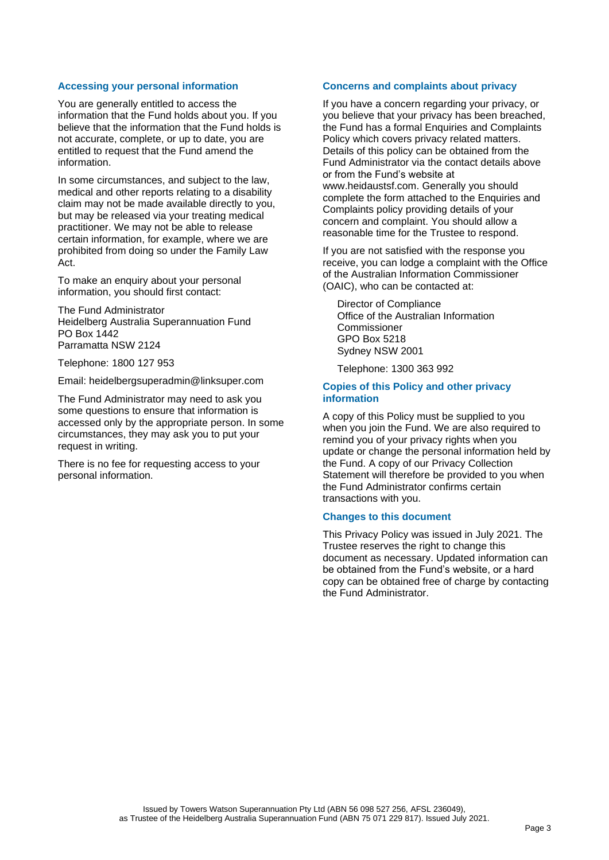#### **Accessing your personal information**

You are generally entitled to access the information that the Fund holds about you. If you believe that the information that the Fund holds is not accurate, complete, or up to date, you are entitled to request that the Fund amend the information.

In some circumstances, and subject to the law, medical and other reports relating to a disability claim may not be made available directly to you, but may be released via your treating medical practitioner. We may not be able to release certain information, for example, where we are prohibited from doing so under the Family Law Act.

To make an enquiry about your personal information, you should first contact:

The Fund Administrator Heidelberg Australia Superannuation Fund PO Box 1442 Parramatta NSW 2124

Telephone: 1800 127 953

Email: heidelbergsuperadmin@linksuper.com

The Fund Administrator may need to ask you some questions to ensure that information is accessed only by the appropriate person. In some circumstances, they may ask you to put your request in writing.

There is no fee for requesting access to your personal information.

#### **Concerns and complaints about privacy**

If you have a concern regarding your privacy, or you believe that your privacy has been breached, the Fund has a formal Enquiries and Complaints Policy which covers privacy related matters. Details of this policy can be obtained from the Fund Administrator via the contact details above or from the Fund's website at www.heidaustsf.com. Generally you should complete the form attached to the Enquiries and Complaints policy providing details of your concern and complaint. You should allow a reasonable time for the Trustee to respond.

If you are not satisfied with the response you receive, you can lodge a complaint with the Office of the Australian Information Commissioner (OAIC), who can be contacted at:

Director of Compliance Office of the Australian Information Commissioner GPO Box 5218 Sydney NSW 2001

Telephone: 1300 363 992

#### **Copies of this Policy and other privacy information**

A copy of this Policy must be supplied to you when you join the Fund. We are also required to remind you of your privacy rights when you update or change the personal information held by the Fund. A copy of our Privacy Collection Statement will therefore be provided to you when the Fund Administrator confirms certain transactions with you.

#### **Changes to this document**

This Privacy Policy was issued in July 2021. The Trustee reserves the right to change this document as necessary. Updated information can be obtained from the Fund's website, or a hard copy can be obtained free of charge by contacting the Fund Administrator.